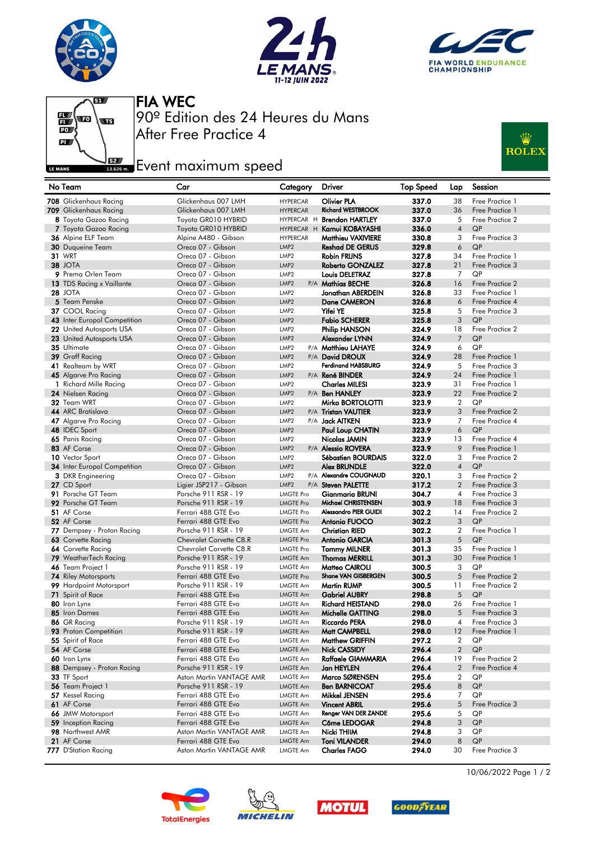







After Free Practice 4 90º Edition des 24 Heures du Mans FIA WEC

## **Example 2**<br>**Example 2** Event maximum speed



| No Team                             | Car                                    | Category                             | Driver                                        | <b>Top Speed</b> | Lap                 | Session               |
|-------------------------------------|----------------------------------------|--------------------------------------|-----------------------------------------------|------------------|---------------------|-----------------------|
| 708 Glickenhaus Racing              | Glickenhaus 007 LMH                    | <b>HYPERCAR</b>                      | <b>Olivier PLA</b>                            | 337.0            | 38                  | Free Practice 1       |
| 709 Glickenhaus Racing              | Glickenhaus 007 LMH                    | <b>HYPERCAR</b>                      | <b>Richard WESTBROOK</b>                      | 337.0            | 36                  | Free Practice 1       |
| 8 Toyota Gazoo Racing               | Toyota GR010 HYBRID                    |                                      | HYPERCAR H Brendon HARTLEY                    | 337.0            | 5                   | Free Practice 2       |
| 7 Toyota Gazoo Racing               | Toyota GR010 HYBRID                    |                                      | HYPERCAR H Kamui KOBAYASHI                    | 336.0            | $\overline{4}$      | QP                    |
| 36 Alpine ELF Team                  | Alpine A480 - Gibson                   | <b>HYPERCAR</b>                      | <b>Matthieu VAXIVIERE</b>                     | 330.8            | 3                   | Free Practice 3       |
| 30 Duqueine Team                    | Oreca 07 - Gibson                      | LMP <sub>2</sub>                     | <b>Reshad DE GERUS</b>                        | 329.8            | 6                   | QP                    |
| <b>31 WRT</b>                       | Oreca 07 - Gibson                      | LMP <sub>2</sub>                     | <b>Robin FRIJNS</b>                           | 327.8            | 34                  | Free Practice 1       |
| 38 JOTA                             | Oreca 07 - Gibson                      | LMP <sub>2</sub>                     | Roberto GONZALEZ                              | 327.8            | 21                  | Free Practice 3       |
| 9 Prema Orlen Team                  | Oreca 07 - Gibson                      | LMP <sub>2</sub>                     | Louis DELETRAZ                                | 327.8            | 7                   | QP                    |
| 13 TDS Racing x Vaillante           | Oreca 07 - Gibson                      | LMP <sub>2</sub>                     | P/A Mathias BECHE                             | 326.8            | 16                  | Free Practice 2       |
| <b>28 JOTA</b>                      | Oreca 07 - Gibson                      | LMP <sub>2</sub>                     | Jonathan ABERDEIN                             | 326.8            | 33                  | Free Practice 1       |
| 5 Team Penske                       | Oreca 07 - Gibson                      | LMP <sub>2</sub>                     | <b>Dane CAMERON</b>                           | 326.8            | 6                   | Free Practice 4       |
| 37 COOL Racing                      | Oreca 07 - Gibson                      | LMP <sub>2</sub>                     | <b>Yifei YE</b>                               | 325.8            | 5                   | Free Practice 3       |
| 43 Inter Europol Competition        | Oreca 07 - Gibson                      | LMP <sub>2</sub>                     | <b>Fabio SCHERER</b>                          | 325.8            | 3                   | QP                    |
| 22 United Autosports USA            | Oreca 07 - Gibson                      | LMP <sub>2</sub>                     | Philip HANSON                                 | 324.9            | 18                  | Free Practice 2       |
| 23 United Autosports USA            | Oreca 07 - Gibson                      | LMP <sub>2</sub>                     | Alexander LYNN                                | 324.9            | $\overline{7}$      | QP                    |
| 35 Ultimate                         | Oreca 07 - Gibson                      | LMP <sub>2</sub>                     | P/A Matthieu LAHAYE                           | 324.9            | 6                   | QP                    |
| 39 Graff Racing                     | Oreca 07 - Gibson                      | LMP <sub>2</sub>                     | P/A David DROUX                               | 324.9            | 28                  | Free Practice 1       |
| 41 Realteam by WRT                  | Oreca 07 - Gibson                      | LMP <sub>2</sub>                     | <b>Ferdinand HABSBURG</b>                     | 324.9            | 5                   | Free Practice 3       |
| 45 Algarve Pro Racing               | Oreca 07 - Gibson                      | LMP <sub>2</sub>                     | P/A René BINDER                               | 324.9            | 24                  | Free Practice 1       |
| 1 Richard Mille Racing              | Oreca 07 - Gibson                      | LMP <sub>2</sub>                     | <b>Charles MILESI</b>                         | 323.9            | 31                  | Free Practice 1       |
| 24 Nielsen Racing                   | Oreca 07 - Gibson                      | LMP <sub>2</sub>                     | P/A Ben HANLEY                                | 323.9            | 22                  | Free Practice 2       |
| $32$ Team WRT                       | Oreca 07 - Gibson                      | LMP <sub>2</sub>                     | Mirko BORTOLOTTI                              | 323.9            | $\overline{2}$      | QP                    |
| 44 ARC Bratislava                   | Oreca 07 - Gibson                      | LMP <sub>2</sub>                     | P/A Tristan VAUTIER                           | 323.9            | 3                   | Free Practice 2       |
| 47 Algarve Pro Racing               | Oreca 07 - Gibson                      | LMP <sub>2</sub>                     | P/A <b>Jack AITKEN</b>                        | 323.9            | 7                   | Free Practice 4       |
| 48 IDEC Sport                       | Oreca 07 - Gibson                      | LMP <sub>2</sub>                     | Paul Loup CHATIN                              | 323.9            | 6                   | QP                    |
| 65 Panis Racing                     | Oreca 07 - Gibson                      | LMP <sub>2</sub>                     | Nicolas JAMIN                                 | 323.9            | 13<br>9             | Free Practice 4       |
| 83 AF Corse                         | Oreca 07 - Gibson                      | LMP <sub>2</sub>                     | P/A Alessio ROVERA                            | 323.9<br>322.0   |                     | Free Practice 1       |
| 10 Vector Sport                     | Oreca 07 - Gibson<br>Oreca 07 - Gibson | LMP <sub>2</sub>                     | Sébastien BOURDAIS                            |                  | 3<br>$\overline{4}$ | Free Practice 2<br>QP |
| <b>34</b> Inter Europol Competition | Oreca 07 - Gibson                      | LMP <sub>2</sub><br>LMP <sub>2</sub> | <b>Alex BRUNDLE</b><br>P/A Alexandre COUGNAUD | 322.0<br>320.1   | 3                   | Free Practice 2       |
| 3 DKR Engineering<br>27 CD Sport    | Ligier JSP217 - Gibson                 | LMP <sub>2</sub>                     | P/A Steven PALETTE                            | 317.2            | $\overline{2}$      | Free Practice 3       |
| 91 Porsche GT Team                  | Porsche 911 RSR - 19                   | <b>LMGTE Pro</b>                     | <b>Gianmaria BRUNI</b>                        | 304.7            | $\overline{4}$      | Free Practice 3       |
| 92 Porsche GT Team                  | Porsche 911 RSR - 19                   | <b>LMGTE Pro</b>                     | Michael CHRISTENSEN                           | 303.9            | 18                  | Free Practice 3       |
| 51 AF Corse                         | Ferrari 488 GTE Evo                    | <b>LMGTE Pro</b>                     | Alessandro PIER GUIDI                         | 302.2            | 14                  | Free Practice 2       |
| 52 AF Corse                         | Ferrari 488 GTE Evo                    | <b>LMGTE Pro</b>                     | Antonio FUOCO                                 | 302.2            | 3                   | QP                    |
| 77 Dempsey - Proton Racing          | Porsche 911 RSR - 19                   | <b>LMGTE Am</b>                      | <b>Christian RIED</b>                         | 302.2            | $\overline{2}$      | Free Practice 1       |
| 63 Corvette Racing                  | Chevrolet Corvette C8.R                | <b>LMGTE Pro</b>                     | <b>Antonio GARCIA</b>                         | 301.3            | 5                   | QP                    |
| 64 Corvette Racing                  | Chevrolet Corvette C8.R                | <b>LMGTE Pro</b>                     | <b>Tommy MILNER</b>                           | 301.3            | 35                  | Free Practice 1       |
| 79 WeatherTech Racing               | Porsche 911 RSR - 19                   | <b>LMGTE Am</b>                      | <b>Thomas MERRILL</b>                         | 301.3            | 30                  | Free Practice 1       |
| 46 Team Project 1                   | Porsche 911 RSR - 19                   | <b>LMGTE Am</b>                      | <b>Matteo CAIROLI</b>                         | 300.5            | 3                   | QP                    |
| <b>74 Riley Motorsports</b>         | Ferrari 488 GTE Evo                    | <b>LMGTE Pro</b>                     | Shane VAN GISBERGEN                           | 300.5            | 5                   | Free Practice 2       |
| 99 Hardpoint Motorsport             | Porsche 911 RSR - 19                   | <b>LMGTE Am</b>                      | <b>Martin RUMP</b>                            | 300.5            | 11                  | Free Practice 2       |
| 71 Spirit of Race                   | Ferrari 488 GTE Evo                    | <b>LMGTE Am</b>                      | <b>Gabriel AUBRY</b>                          | 298.8            | 5                   | QP                    |
| 80 Iron Lynx                        | Ferrari 488 GTE Evo                    | LMGTE Am                             | <b>Richard HEISTAND</b>                       | 298.0            | 26                  | Free Practice 1       |
| 85 Iron Dames                       | Ferrari 488 GTE Evo                    | <b>LMGTE Am</b>                      | Michelle GATTING                              | 298.0            | 5                   | Free Practice 3       |
| 86 GR Racing                        | Porsche 911 RSR - 19                   | LMGTE Am                             | <b>Riccardo PERA</b>                          | 298.0            | 4                   | Free Practice 3       |
| 93 Proton Competition               | Porsche 911 RSR - 19                   | <b>LMGTE Am</b>                      | Matt CAMPBELL                                 | 298.0            | 12                  | Free Practice 1       |
| 55 Spirit of Race                   | Ferrari 488 GTE Evo                    | LMGTE Am                             | <b>Matthew GRIFFIN</b>                        | 297.2            | 2                   | QP                    |
| 54 AF Corse                         | Ferrari 488 GTE Evo                    | <b>LMGTE Am</b>                      | <b>Nick CASSIDY</b>                           | 296.4            | $\overline{2}$      | QP                    |
| 60 Iron Lynx                        | Ferrari 488 GTE Evo                    | LMGTE Am                             | Raffaele GIAMMARIA                            | 296.4            | 19                  | Free Practice 2       |
| 88 Dempsey - Proton Racing          | Porsche 911 RSR - 19                   | <b>LMGTE Am</b>                      | Jan HEYLEN                                    | 296.4            | $\overline{2}$      | Free Practice 4       |
| 33 TF Sport                         | Aston Martin VANTAGE AMR               | LMGTE Am                             | Marco SØRENSEN                                | 295.6            | $\overline{2}$      | QP                    |
| 56 Team Project 1                   | Porsche 911 RSR - 19                   | <b>LMGTE Am</b>                      | <b>Ben BARNICOAT</b>                          | 295.6            | $\,8\,$             | QP                    |
| 57 Kessel Racing                    | Ferrari 488 GTE Evo                    | <b>LMGTE Am</b>                      | Mikkel JENSEN                                 | 295.6            | 7                   | QP                    |
| 61 AF Corse                         | Ferrari 488 GTE Evo                    | <b>LMGTE Am</b>                      | <b>Vincent ABRIL</b>                          | 295.6            | 5                   | Free Practice 3       |
| 66 JMW Motorsport                   | Ferrari 488 GTE Evo                    | <b>LMGTE Am</b>                      | Renger VAN DER ZANDE                          | 295.6            | 5                   | QP                    |
| 59 Inception Racing                 | Ferrari 488 GTE Evo                    | <b>LMGTE Am</b>                      | Côme LEDOGAR                                  | 294.8            | 3                   | QP                    |
| 98 Northwest AMR                    | Aston Martin VANTAGE AMR               | <b>LMGTE Am</b>                      | Nicki THIIM                                   | 294.8            | 3                   | QP                    |
| 21 AF Corse                         | Ferrari 488 GTE Evo                    | <b>LMGTE Am</b>                      | <b>Toni VILANDER</b>                          | 294.0            | 8                   | QP                    |
| 777 D'Station Racing                | Aston Martin VANTAGE AMR               | <b>LMGTE Am</b>                      | <b>Charles FAGG</b>                           | 294.0            | 30                  | Free Practice 3       |









10/06/2022 Page 1 / 2